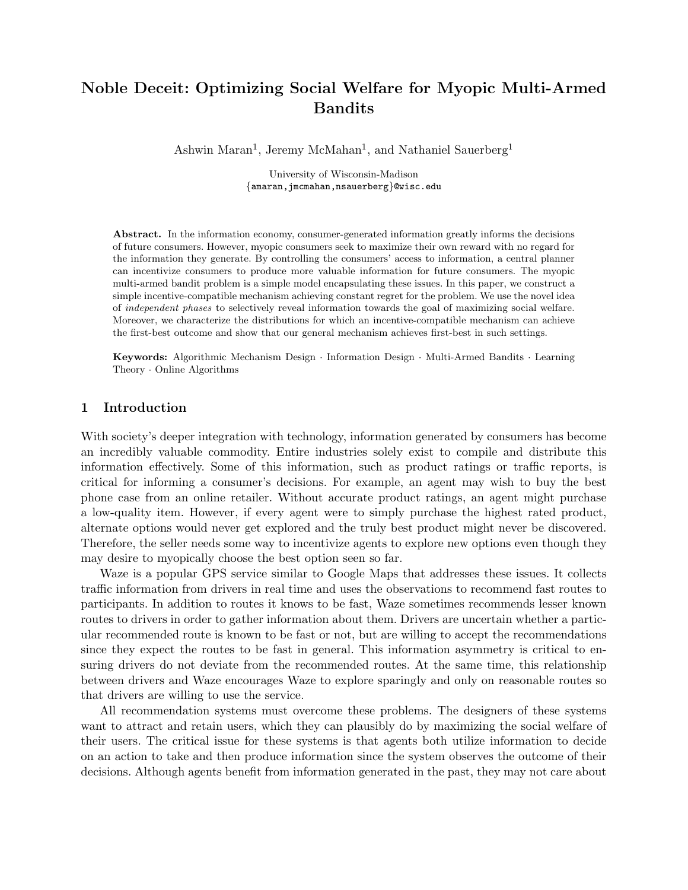# Noble Deceit: Optimizing Social Welfare for Myopic Multi-Armed Bandits

Ashwin Maran<sup>1</sup>, Jeremy McMahan<sup>1</sup>, and Nathaniel Sauerberg<sup>1</sup>

University of Wisconsin-Madison {amaran,jmcmahan,nsauerberg}@wisc.edu

Abstract. In the information economy, consumer-generated information greatly informs the decisions of future consumers. However, myopic consumers seek to maximize their own reward with no regard for the information they generate. By controlling the consumers' access to information, a central planner can incentivize consumers to produce more valuable information for future consumers. The myopic multi-armed bandit problem is a simple model encapsulating these issues. In this paper, we construct a simple incentive-compatible mechanism achieving constant regret for the problem. We use the novel idea of independent phases to selectively reveal information towards the goal of maximizing social welfare. Moreover, we characterize the distributions for which an incentive-compatible mechanism can achieve the first-best outcome and show that our general mechanism achieves first-best in such settings.

Keywords: Algorithmic Mechanism Design · Information Design · Multi-Armed Bandits · Learning Theory · Online Algorithms

### 1 Introduction

With society's deeper integration with technology, information generated by consumers has become an incredibly valuable commodity. Entire industries solely exist to compile and distribute this information effectively. Some of this information, such as product ratings or traffic reports, is critical for informing a consumer's decisions. For example, an agent may wish to buy the best phone case from an online retailer. Without accurate product ratings, an agent might purchase a low-quality item. However, if every agent were to simply purchase the highest rated product, alternate options would never get explored and the truly best product might never be discovered. Therefore, the seller needs some way to incentivize agents to explore new options even though they may desire to myopically choose the best option seen so far.

Waze is a popular GPS service similar to Google Maps that addresses these issues. It collects traffic information from drivers in real time and uses the observations to recommend fast routes to participants. In addition to routes it knows to be fast, Waze sometimes recommends lesser known routes to drivers in order to gather information about them. Drivers are uncertain whether a particular recommended route is known to be fast or not, but are willing to accept the recommendations since they expect the routes to be fast in general. This information asymmetry is critical to ensuring drivers do not deviate from the recommended routes. At the same time, this relationship between drivers and Waze encourages Waze to explore sparingly and only on reasonable routes so that drivers are willing to use the service.

All recommendation systems must overcome these problems. The designers of these systems want to attract and retain users, which they can plausibly do by maximizing the social welfare of their users. The critical issue for these systems is that agents both utilize information to decide on an action to take and then produce information since the system observes the outcome of their decisions. Although agents benefit from information generated in the past, they may not care about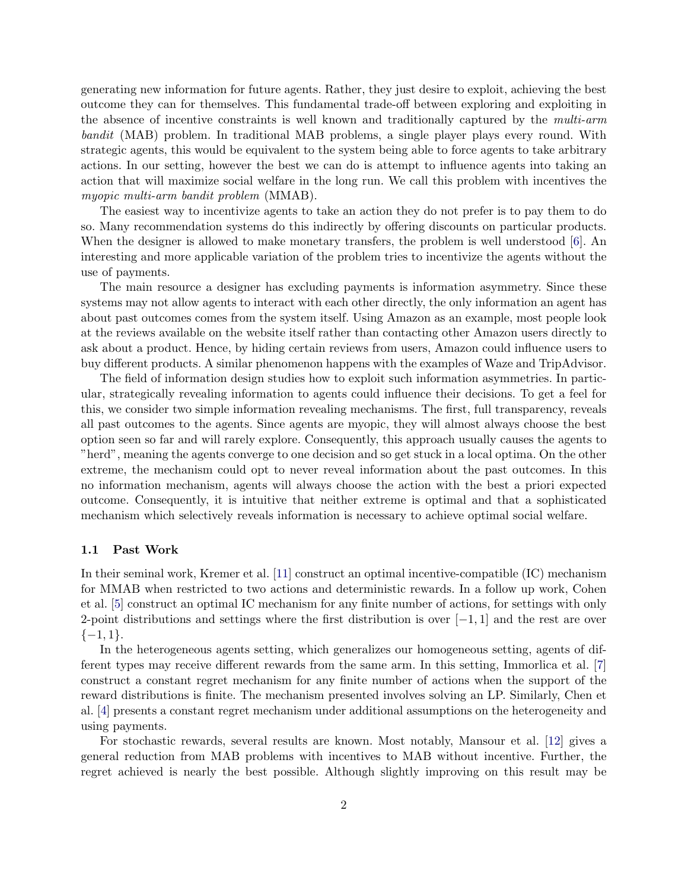generating new information for future agents. Rather, they just desire to exploit, achieving the best outcome they can for themselves. This fundamental trade-off between exploring and exploiting in the absence of incentive constraints is well known and traditionally captured by the *multi-arm* bandit (MAB) problem. In traditional MAB problems, a single player plays every round. With strategic agents, this would be equivalent to the system being able to force agents to take arbitrary actions. In our setting, however the best we can do is attempt to influence agents into taking an action that will maximize social welfare in the long run. We call this problem with incentives the myopic multi-arm bandit problem (MMAB).

The easiest way to incentivize agents to take an action they do not prefer is to pay them to do so. Many recommendation systems do this indirectly by offering discounts on particular products. When the designer is allowed to make monetary transfers, the problem is well understood [\[6\]](#page-16-0). An interesting and more applicable variation of the problem tries to incentivize the agents without the use of payments.

The main resource a designer has excluding payments is information asymmetry. Since these systems may not allow agents to interact with each other directly, the only information an agent has about past outcomes comes from the system itself. Using Amazon as an example, most people look at the reviews available on the website itself rather than contacting other Amazon users directly to ask about a product. Hence, by hiding certain reviews from users, Amazon could influence users to buy different products. A similar phenomenon happens with the examples of Waze and TripAdvisor.

The field of information design studies how to exploit such information asymmetries. In particular, strategically revealing information to agents could influence their decisions. To get a feel for this, we consider two simple information revealing mechanisms. The first, full transparency, reveals all past outcomes to the agents. Since agents are myopic, they will almost always choose the best option seen so far and will rarely explore. Consequently, this approach usually causes the agents to "herd", meaning the agents converge to one decision and so get stuck in a local optima. On the other extreme, the mechanism could opt to never reveal information about the past outcomes. In this no information mechanism, agents will always choose the action with the best a priori expected outcome. Consequently, it is intuitive that neither extreme is optimal and that a sophisticated mechanism which selectively reveals information is necessary to achieve optimal social welfare.

#### 1.1 Past Work

In their seminal work, Kremer et al. [\[11\]](#page-17-0) construct an optimal incentive-compatible (IC) mechanism for MMAB when restricted to two actions and deterministic rewards. In a follow up work, Cohen et al. [\[5\]](#page-16-1) construct an optimal IC mechanism for any finite number of actions, for settings with only 2-point distributions and settings where the first distribution is over  $[-1, 1]$  and the rest are over  $\{-1,1\}.$ 

In the heterogeneous agents setting, which generalizes our homogeneous setting, agents of different types may receive different rewards from the same arm. In this setting, Immorlica et al. [\[7\]](#page-16-2) construct a constant regret mechanism for any finite number of actions when the support of the reward distributions is finite. The mechanism presented involves solving an LP. Similarly, Chen et al. [\[4\]](#page-16-3) presents a constant regret mechanism under additional assumptions on the heterogeneity and using payments.

For stochastic rewards, several results are known. Most notably, Mansour et al. [\[12\]](#page-17-1) gives a general reduction from MAB problems with incentives to MAB without incentive. Further, the regret achieved is nearly the best possible. Although slightly improving on this result may be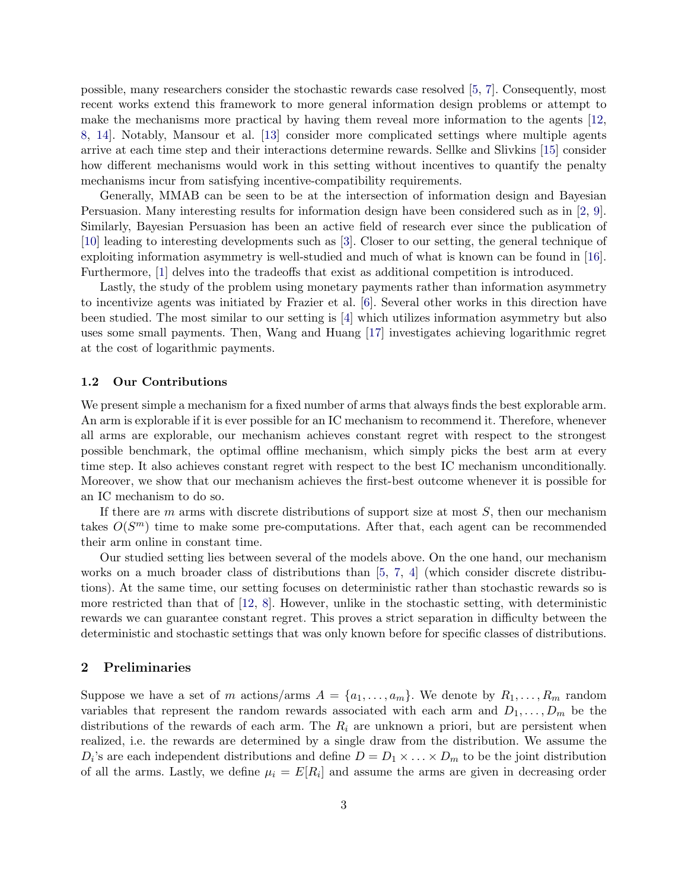possible, many researchers consider the stochastic rewards case resolved [\[5,](#page-16-1) [7\]](#page-16-2). Consequently, most recent works extend this framework to more general information design problems or attempt to make the mechanisms more practical by having them reveal more information to the agents [\[12,](#page-17-1) [8,](#page-17-2) [14\]](#page-17-3). Notably, Mansour et al. [\[13\]](#page-17-4) consider more complicated settings where multiple agents arrive at each time step and their interactions determine rewards. Sellke and Slivkins [\[15\]](#page-17-5) consider how different mechanisms would work in this setting without incentives to quantify the penalty mechanisms incur from satisfying incentive-compatibility requirements.

Generally, MMAB can be seen to be at the intersection of information design and Bayesian Persuasion. Many interesting results for information design have been considered such as in [\[2,](#page-16-4) [9\]](#page-17-6). Similarly, Bayesian Persuasion has been an active field of research ever since the publication of [\[10\]](#page-17-7) leading to interesting developments such as [\[3\]](#page-16-5). Closer to our setting, the general technique of exploiting information asymmetry is well-studied and much of what is known can be found in [\[16\]](#page-17-8). Furthermore, [\[1\]](#page-16-6) delves into the tradeoffs that exist as additional competition is introduced.

Lastly, the study of the problem using monetary payments rather than information asymmetry to incentivize agents was initiated by Frazier et al. [\[6\]](#page-16-0). Several other works in this direction have been studied. The most similar to our setting is [\[4\]](#page-16-3) which utilizes information asymmetry but also uses some small payments. Then, Wang and Huang [\[17\]](#page-17-9) investigates achieving logarithmic regret at the cost of logarithmic payments.

#### 1.2 Our Contributions

We present simple a mechanism for a fixed number of arms that always finds the best explorable arm. An arm is explorable if it is ever possible for an IC mechanism to recommend it. Therefore, whenever all arms are explorable, our mechanism achieves constant regret with respect to the strongest possible benchmark, the optimal offline mechanism, which simply picks the best arm at every time step. It also achieves constant regret with respect to the best IC mechanism unconditionally. Moreover, we show that our mechanism achieves the first-best outcome whenever it is possible for an IC mechanism to do so.

If there are  $m$  arms with discrete distributions of support size at most  $S$ , then our mechanism takes  $O(S^m)$  time to make some pre-computations. After that, each agent can be recommended their arm online in constant time.

Our studied setting lies between several of the models above. On the one hand, our mechanism works on a much broader class of distributions than  $[5, 7, 4]$  $[5, 7, 4]$  $[5, 7, 4]$  $[5, 7, 4]$  $[5, 7, 4]$  (which consider discrete distributions). At the same time, our setting focuses on deterministic rather than stochastic rewards so is more restricted than that of  $[12, 8]$  $[12, 8]$  $[12, 8]$ . However, unlike in the stochastic setting, with deterministic rewards we can guarantee constant regret. This proves a strict separation in difficulty between the deterministic and stochastic settings that was only known before for specific classes of distributions.

#### 2 Preliminaries

Suppose we have a set of m actions/arms  $A = \{a_1, \ldots, a_m\}$ . We denote by  $R_1, \ldots, R_m$  random variables that represent the random rewards associated with each arm and  $D_1, \ldots, D_m$  be the distributions of the rewards of each arm. The  $R_i$  are unknown a priori, but are persistent when realized, i.e. the rewards are determined by a single draw from the distribution. We assume the  $D_i$ 's are each independent distributions and define  $D = D_1 \times \ldots \times D_m$  to be the joint distribution of all the arms. Lastly, we define  $\mu_i = E[R_i]$  and assume the arms are given in decreasing order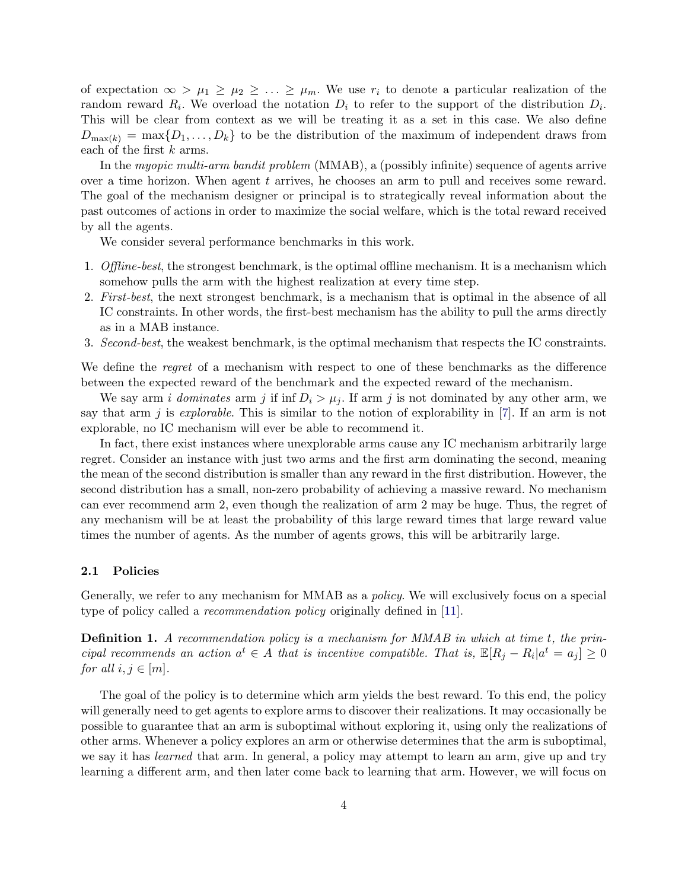of expectation  $\infty > \mu_1 \geq \mu_2 \geq \ldots \geq \mu_m$ . We use  $r_i$  to denote a particular realization of the random reward  $R_i$ . We overload the notation  $D_i$  to refer to the support of the distribution  $D_i$ . This will be clear from context as we will be treating it as a set in this case. We also define  $D_{\max(k)} = \max\{D_1,\ldots,D_k\}$  to be the distribution of the maximum of independent draws from each of the first k arms.

In the myopic multi-arm bandit problem (MMAB), a (possibly infinite) sequence of agents arrive over a time horizon. When agent  $t$  arrives, he chooses an arm to pull and receives some reward. The goal of the mechanism designer or principal is to strategically reveal information about the past outcomes of actions in order to maximize the social welfare, which is the total reward received by all the agents.

We consider several performance benchmarks in this work.

- 1. Offline-best, the strongest benchmark, is the optimal offline mechanism. It is a mechanism which somehow pulls the arm with the highest realization at every time step.
- 2. First-best, the next strongest benchmark, is a mechanism that is optimal in the absence of all IC constraints. In other words, the first-best mechanism has the ability to pull the arms directly as in a MAB instance.
- 3. Second-best, the weakest benchmark, is the optimal mechanism that respects the IC constraints.

We define the *regret* of a mechanism with respect to one of these benchmarks as the difference between the expected reward of the benchmark and the expected reward of the mechanism.

We say arm *i dominates* arm *j* if inf  $D_i > \mu_j$ . If arm *j* is not dominated by any other arm, we say that arm j is *explorable*. This is similar to the notion of explorability in  $[7]$ . If an arm is not explorable, no IC mechanism will ever be able to recommend it.

In fact, there exist instances where unexplorable arms cause any IC mechanism arbitrarily large regret. Consider an instance with just two arms and the first arm dominating the second, meaning the mean of the second distribution is smaller than any reward in the first distribution. However, the second distribution has a small, non-zero probability of achieving a massive reward. No mechanism can ever recommend arm 2, even though the realization of arm 2 may be huge. Thus, the regret of any mechanism will be at least the probability of this large reward times that large reward value times the number of agents. As the number of agents grows, this will be arbitrarily large.

#### 2.1 Policies

Generally, we refer to any mechanism for MMAB as a policy. We will exclusively focus on a special type of policy called a recommendation policy originally defined in [\[11\]](#page-17-0).

Definition 1. A recommendation policy is a mechanism for MMAB in which at time t, the principal recommends an action  $a^t \in A$  that is incentive compatible. That is,  $\mathbb{E}[R_j - R_i | a^t = a_j] \geq 0$ for all  $i, j \in [m]$ .

The goal of the policy is to determine which arm yields the best reward. To this end, the policy will generally need to get agents to explore arms to discover their realizations. It may occasionally be possible to guarantee that an arm is suboptimal without exploring it, using only the realizations of other arms. Whenever a policy explores an arm or otherwise determines that the arm is suboptimal, we say it has *learned* that arm. In general, a policy may attempt to learn an arm, give up and try learning a different arm, and then later come back to learning that arm. However, we will focus on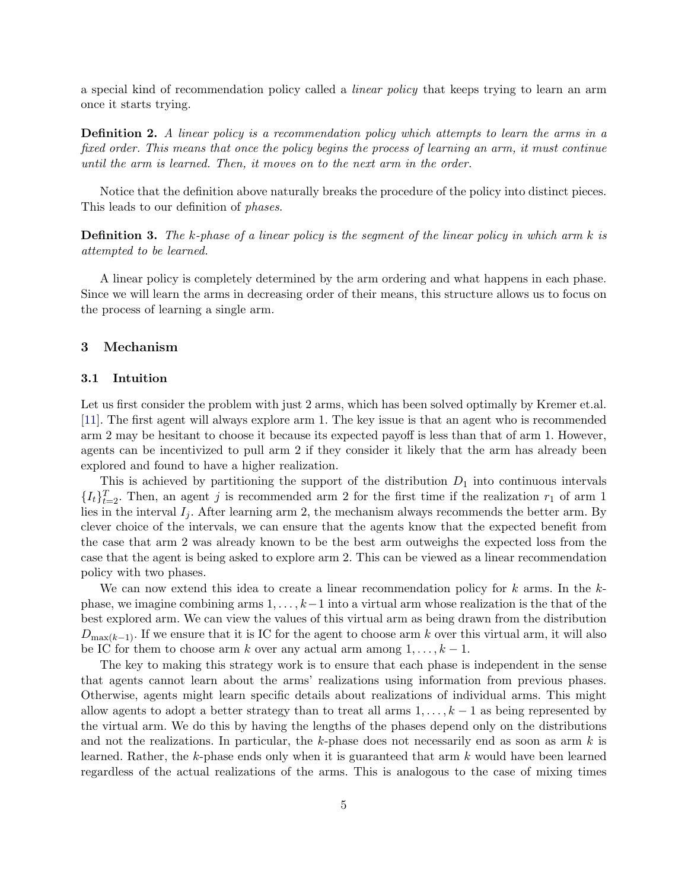a special kind of recommendation policy called a linear policy that keeps trying to learn an arm once it starts trying.

**Definition 2.** A linear policy is a recommendation policy which attempts to learn the arms in a fixed order. This means that once the policy begins the process of learning an arm, it must continue until the arm is learned. Then, it moves on to the next arm in the order.

Notice that the definition above naturally breaks the procedure of the policy into distinct pieces. This leads to our definition of phases.

**Definition 3.** The k-phase of a linear policy is the segment of the linear policy in which arm  $k$  is attempted to be learned.

A linear policy is completely determined by the arm ordering and what happens in each phase. Since we will learn the arms in decreasing order of their means, this structure allows us to focus on the process of learning a single arm.

#### 3 Mechanism

#### 3.1 Intuition

Let us first consider the problem with just 2 arms, which has been solved optimally by Kremer et.al. [\[11\]](#page-17-0). The first agent will always explore arm 1. The key issue is that an agent who is recommended arm 2 may be hesitant to choose it because its expected payoff is less than that of arm 1. However, agents can be incentivized to pull arm 2 if they consider it likely that the arm has already been explored and found to have a higher realization.

This is achieved by partitioning the support of the distribution  $D_1$  into continuous intervals  ${I_t}_{t=2}^T$ . Then, an agent j is recommended arm 2 for the first time if the realization  $r_1$  of arm 1 lies in the interval  $I_j$ . After learning arm 2, the mechanism always recommends the better arm. By clever choice of the intervals, we can ensure that the agents know that the expected benefit from the case that arm 2 was already known to be the best arm outweighs the expected loss from the case that the agent is being asked to explore arm 2. This can be viewed as a linear recommendation policy with two phases.

We can now extend this idea to create a linear recommendation policy for  $k$  arms. In the  $k$ phase, we imagine combining arms  $1, \ldots, k-1$  into a virtual arm whose realization is the that of the best explored arm. We can view the values of this virtual arm as being drawn from the distribution  $D_{\max(k-1)}$ . If we ensure that it is IC for the agent to choose arm k over this virtual arm, it will also be IC for them to choose arm k over any actual arm among  $1, \ldots, k-1$ .

The key to making this strategy work is to ensure that each phase is independent in the sense that agents cannot learn about the arms' realizations using information from previous phases. Otherwise, agents might learn specific details about realizations of individual arms. This might allow agents to adopt a better strategy than to treat all arms  $1, \ldots, k-1$  as being represented by the virtual arm. We do this by having the lengths of the phases depend only on the distributions and not the realizations. In particular, the  $k$ -phase does not necessarily end as soon as arm  $k$  is learned. Rather, the k-phase ends only when it is guaranteed that arm k would have been learned regardless of the actual realizations of the arms. This is analogous to the case of mixing times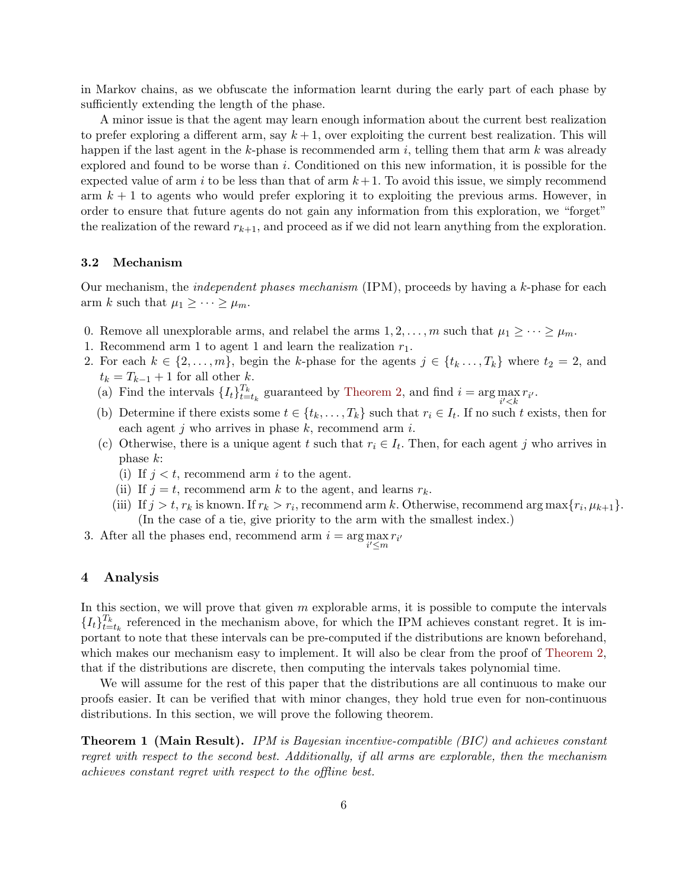in Markov chains, as we obfuscate the information learnt during the early part of each phase by sufficiently extending the length of the phase.

A minor issue is that the agent may learn enough information about the current best realization to prefer exploring a different arm, say  $k+1$ , over exploiting the current best realization. This will happen if the last agent in the k-phase is recommended arm i, telling them that arm  $k$  was already explored and found to be worse than  $i$ . Conditioned on this new information, it is possible for the expected value of arm i to be less than that of arm  $k+1$ . To avoid this issue, we simply recommend arm  $k + 1$  to agents who would prefer exploring it to exploiting the previous arms. However, in order to ensure that future agents do not gain any information from this exploration, we "forget" the realization of the reward  $r_{k+1}$ , and proceed as if we did not learn anything from the exploration.

#### 3.2 Mechanism

Our mechanism, the independent phases mechanism (IPM), proceeds by having a k-phase for each arm k such that  $\mu_1 \geq \cdots \geq \mu_m$ .

- 0. Remove all unexplorable arms, and relabel the arms  $1, 2, \ldots, m$  such that  $\mu_1 \geq \cdots \geq \mu_m$ .
- 1. Recommend arm 1 to agent 1 and learn the realization  $r_1$ .
- 2. For each  $k \in \{2, \ldots, m\}$ , begin the k-phase for the agents  $j \in \{t_k, \ldots, T_k\}$  where  $t_2 = 2$ , and  $t_k = T_{k-1} + 1$  for all other k.
	- (a) Find the intervals  $\{I_t\}_{t=1}^{T_k}$  $t_{t=t_k}^{I_k}$  guaranteed by [Theorem 2,](#page-6-0) and find  $i = \arg \max_{i' < k} r_{i'}$ .
	- (b) Determine if there exists some  $t \in \{t_k, \ldots, T_k\}$  such that  $r_i \in I_t$ . If no such t exists, then for each agent j who arrives in phase  $k$ , recommend arm  $i$ .
	- (c) Otherwise, there is a unique agent t such that  $r_i \in I_t$ . Then, for each agent j who arrives in phase k:
		- (i) If  $j < t$ , recommend arm i to the agent.
		- (ii) If  $j = t$ , recommend arm k to the agent, and learns  $r_k$ .
		- (iii) If  $j > t$ ,  $r_k$  is known. If  $r_k > r_i$ , recommend arm k. Otherwise, recommend arg max $\{r_i, \mu_{k+1}\}.$ (In the case of a tie, give priority to the arm with the smallest index.)
- 3. After all the phases end, recommend arm  $i = \arg \max_{i' \le m} r_{i'}$ i

#### 4 Analysis

In this section, we will prove that given  $m$  explorable arms, it is possible to compute the intervals  $\{I_{t}\}_{t=1}^{T_{k}}$  $t_{t=t_k}^{T_k}$  referenced in the mechanism above, for which the IPM achieves constant regret. It is important to note that these intervals can be pre-computed if the distributions are known beforehand, which makes our mechanism easy to implement. It will also be clear from the proof of [Theorem 2,](#page-6-0) that if the distributions are discrete, then computing the intervals takes polynomial time.

We will assume for the rest of this paper that the distributions are all continuous to make our proofs easier. It can be verified that with minor changes, they hold true even for non-continuous distributions. In this section, we will prove the following theorem.

<span id="page-5-0"></span>**Theorem 1 (Main Result).** IPM is Bayesian incentive-compatible (BIC) and achieves constant regret with respect to the second best. Additionally, if all arms are explorable, then the mechanism achieves constant regret with respect to the offline best.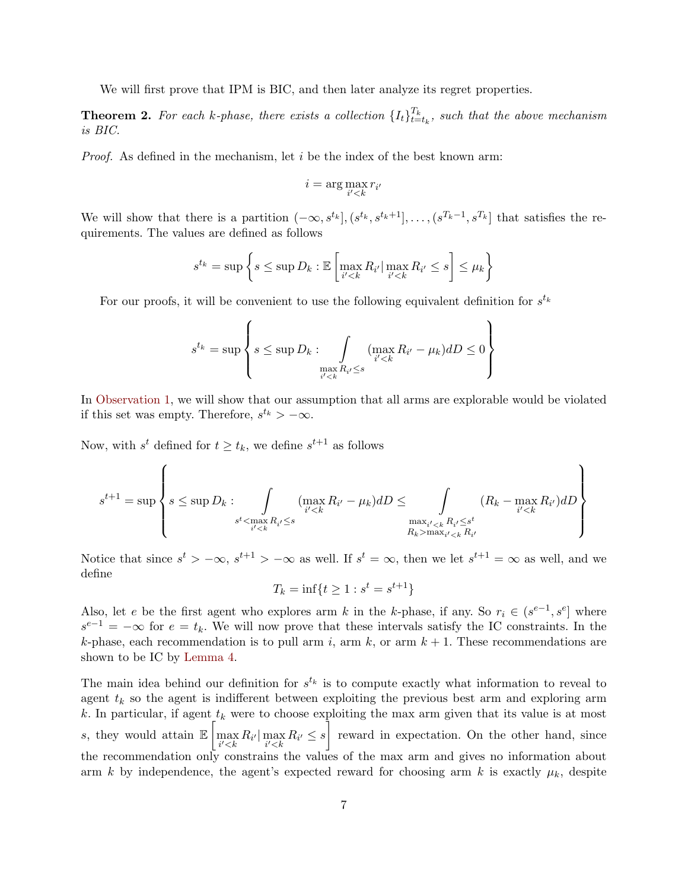We will first prove that IPM is BIC, and then later analyze its regret properties.

<span id="page-6-0"></span>**Theorem 2.** For each k-phase, there exists a collection  $\{I_t\}_{t=1}^{T_k}$  $_{t=t_k}^{T_k}$ , such that the above mechanism is BIC.

*Proof.* As defined in the mechanism, let  $i$  be the index of the best known arm:

$$
i = \arg\max_{i' < k} r_{i'}
$$

We will show that there is a partition  $(-\infty, s^{t_k}], (s^{t_k}, s^{t_k+1}], \ldots, (s^{T_k-1}, s^{T_k}]$  that satisfies the requirements. The values are defined as follows

$$
s^{t_k} = \sup \left\{ s \le \sup D_k : \mathbb{E} \left[ \max_{i' < k} R_{i'} \big| \max_{i' < k} R_{i'} \le s \right] \le \mu_k \right\}
$$

For our proofs, it will be convenient to use the following equivalent definition for  $s^{t_k}$ 

$$
s^{t_k} = \sup \left\{ s \le \sup D_k : \int\limits_{\substack{i' < k \\ i' < k}} (\max_{i' < k} R_{i'} - \mu_k) dD \le 0 \right\}
$$

In [Observation 1,](#page-7-0) we will show that our assumption that all arms are explorable would be violated if this set was empty. Therefore,  $s^{t_k} > -\infty$ .

Now, with  $s^t$  defined for  $t \geq t_k$ , we define  $s^{t+1}$  as follows

$$
s^{t+1} = \sup \left\{ s \le \sup D_k : \int_{\substack{s^t < \max_{i' < k} R_{i'} \le s \\ s^{t} < \max_{i' < k} R_{i'} \le s}} (\max_{i' < k} R_{i'} - \mu_k) dD \le \int_{\substack{\max_{i' < k} R_{i'} \le s^t \\ R_k > \max_{i' < k} R_{i'}}} (R_k - \max_{i' < k} R_{i'}) dD \right\}
$$

Notice that since  $s^t > -\infty$ ,  $s^{t+1} > -\infty$  as well. If  $s^t = \infty$ , then we let  $s^{t+1} = \infty$  as well, and we define

$$
T_k = \inf\{t \ge 1 : s^t = s^{t+1}\}
$$

Also, let e be the first agent who explores arm k in the k-phase, if any. So  $r_i \in (s^{e-1}, s^e]$  where  $s^{e-1} = -\infty$  for  $e = t_k$ . We will now prove that these intervals satisfy the IC constraints. In the k-phase, each recommendation is to pull arm i, arm k, or arm  $k + 1$ . These recommendations are shown to be IC by [Lemma 4.](#page-11-0)

The main idea behind our definition for  $s^{t_k}$  is to compute exactly what information to reveal to agent  $t_k$  so the agent is indifferent between exploiting the previous best arm and exploring arm k. In particular, if agent  $t_k$  were to choose exploiting the max arm given that its value is at most s, they would attain  $\mathbb{E}\left[\max_{i' reward in expectation. On the other hand, since$ the recommendation only constrains the values of the max arm and gives no information about arm k by independence, the agent's expected reward for choosing arm k is exactly  $\mu_k$ , despite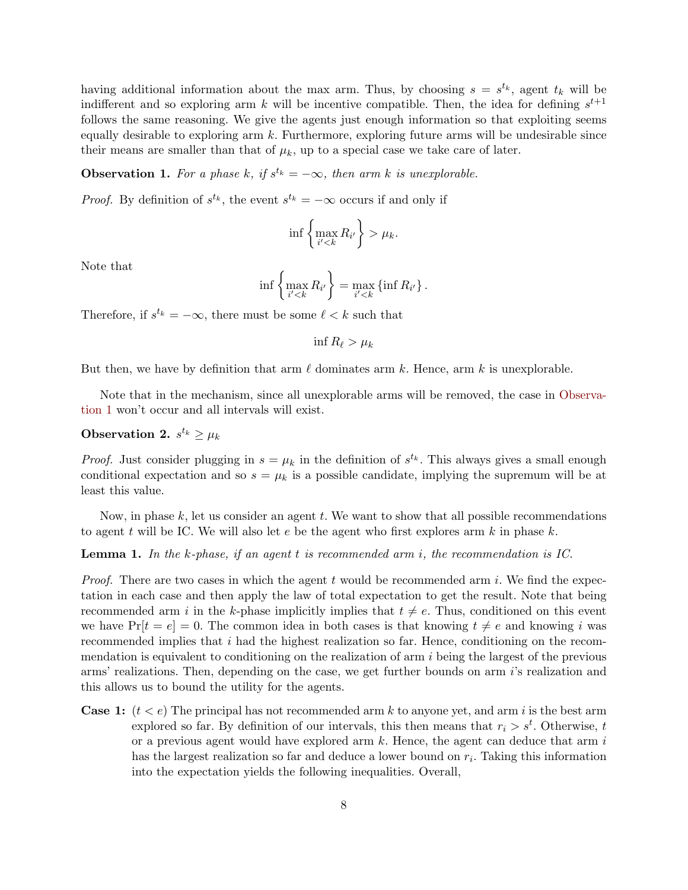having additional information about the max arm. Thus, by choosing  $s = s^{t_k}$ , agent  $t_k$  will be indifferent and so exploring arm k will be incentive compatible. Then, the idea for defining  $s^{t+1}$ follows the same reasoning. We give the agents just enough information so that exploiting seems equally desirable to exploring arm  $k$ . Furthermore, exploring future arms will be undesirable since their means are smaller than that of  $\mu_k$ , up to a special case we take care of later.

<span id="page-7-0"></span>**Observation 1.** For a phase k, if  $s^{t_k} = -\infty$ , then arm k is unexplorable.

*Proof.* By definition of  $s^{t_k}$ , the event  $s^{t_k} = -\infty$  occurs if and only if

$$
\inf\left\{\max_{i'\mu_k.
$$

Note that

$$
\inf \left\{ \max_{i' < k} R_{i'} \right\} = \max_{i' < k} \left\{ \inf R_{i'} \right\}.
$$

Therefore, if  $s^{t_k} = -\infty$ , there must be some  $\ell < k$  such that

<span id="page-7-2"></span>inf  $R_\ell > \mu_k$ 

But then, we have by definition that arm  $\ell$  dominates arm k. Hence, arm k is unexplorable.

Note that in the mechanism, since all unexplorable arms will be removed, the case in [Observa](#page-7-0)[tion 1](#page-7-0) won't occur and all intervals will exist.

# <span id="page-7-1"></span>Observation 2.  $s^{t_k} \geq \mu_k$

*Proof.* Just consider plugging in  $s = \mu_k$  in the definition of  $s^{t_k}$ . This always gives a small enough conditional expectation and so  $s = \mu_k$  is a possible candidate, implying the supremum will be at least this value.

Now, in phase  $k$ , let us consider an agent  $t$ . We want to show that all possible recommendations to agent t will be IC. We will also let  $e$  be the agent who first explores arm  $k$  in phase  $k$ .

#### **Lemma 1.** In the k-phase, if an agent t is recommended arm i, the recommendation is IC.

*Proof.* There are two cases in which the agent t would be recommended arm i. We find the expectation in each case and then apply the law of total expectation to get the result. Note that being recommended arm i in the k-phase implicitly implies that  $t \neq e$ . Thus, conditioned on this event we have  $Pr[t = e] = 0$ . The common idea in both cases is that knowing  $t \neq e$  and knowing i was recommended implies that i had the highest realization so far. Hence, conditioning on the recommendation is equivalent to conditioning on the realization of arm i being the largest of the previous arms' realizations. Then, depending on the case, we get further bounds on arm i's realization and this allows us to bound the utility for the agents.

**Case 1:**  $(t < e)$  The principal has not recommended arm k to anyone yet, and arm i is the best arm explored so far. By definition of our intervals, this then means that  $r_i > s^t$ . Otherwise, t or a previous agent would have explored arm  $k$ . Hence, the agent can deduce that arm  $i$ has the largest realization so far and deduce a lower bound on  $r_i$ . Taking this information into the expectation yields the following inequalities. Overall,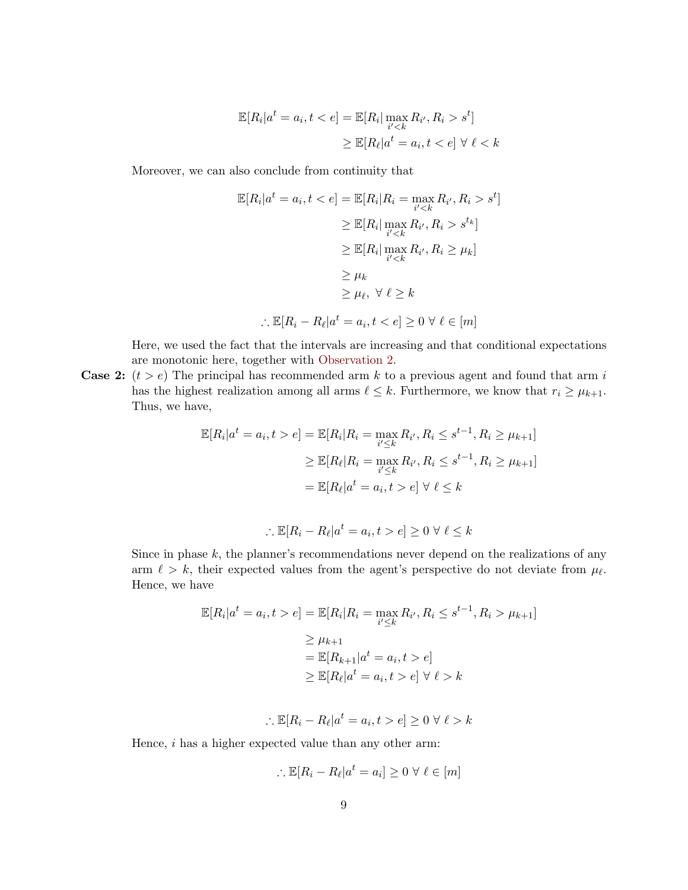$$
\mathbb{E}[R_i|a^t = a_i, t < e] = \mathbb{E}[R_i| \max_{i' < k} R_{i'}, R_i > s^t]
$$
\n
$$
\geq \mathbb{E}[R_\ell|a^t = a_i, t < e] \ \forall \ \ell < k
$$

Moreover, we can also conclude from continuity that

$$
\mathbb{E}[R_i|a^t = a_i, t < e] = \mathbb{E}[R_i|R_i = \max_{i' < k} R_{i'}, R_i > s^t]
$$
\n
$$
\geq \mathbb{E}[R_i| \max_{i' < k} R_{i'}, R_i > s^{t_k}]
$$
\n
$$
\geq \mathbb{E}[R_i| \max_{i' < k} R_{i'}, R_i \geq \mu_k]
$$
\n
$$
\geq \mu_k
$$
\n
$$
\geq \mu_\ell, \ \forall \ \ell \geq k
$$
\n
$$
\therefore \mathbb{E}[R_i - R_\ell|a^t = a_i, t < e] \geq 0 \ \forall \ \ell \in [m]
$$

Here, we used the fact that the intervals are increasing and that conditional expectations are monotonic here, together with [Observation 2.](#page-7-1)

**Case 2:**  $(t > e)$  The principal has recommended arm k to a previous agent and found that arm i has the highest realization among all arms  $\ell \leq k$ . Furthermore, we know that  $r_i \geq \mu_{k+1}$ . Thus, we have,

$$
\mathbb{E}[R_i|a^t = a_i, t > e] = \mathbb{E}[R_i|R_i = \max_{i' \le k} R_{i'}, R_i \le s^{t-1}, R_i \ge \mu_{k+1}]
$$
  
\n
$$
\ge \mathbb{E}[R_{\ell}|R_i = \max_{i' \le k} R_{i'}, R_i \le s^{t-1}, R_i \ge \mu_{k+1}]
$$
  
\n
$$
= \mathbb{E}[R_{\ell}|a^t = a_i, t > e] \ \forall \ \ell \le k
$$

$$
\therefore \mathbb{E}[R_i - R_\ell | a^t = a_i, t > e] \ge 0 \ \forall \ \ell \le k
$$

Since in phase  $k$ , the planner's recommendations never depend on the realizations of any arm  $\ell > k$ , their expected values from the agent's perspective do not deviate from  $\mu_{\ell}$ . Hence, we have

$$
\mathbb{E}[R_i|a^t = a_i, t > e] = \mathbb{E}[R_i|R_i = \max_{i' \le k} R_{i'}, R_i \le s^{t-1}, R_i > \mu_{k+1}]
$$
  
\n
$$
\ge \mu_{k+1}
$$
  
\n
$$
= \mathbb{E}[R_{k+1}|a^t = a_i, t > e]
$$
  
\n
$$
\ge \mathbb{E}[R_{\ell}|a^t = a_i, t > e] \quad \forall \ell > k
$$

$$
\therefore \mathbb{E}[R_i - R_\ell | a^t = a_i, t > e] \ge 0 \ \forall \ \ell > k
$$

Hence, i has a higher expected value than any other arm:

$$
\therefore \mathbb{E}[R_i - R_\ell | a^t = a_i] \ge 0 \ \forall \ \ell \in [m]
$$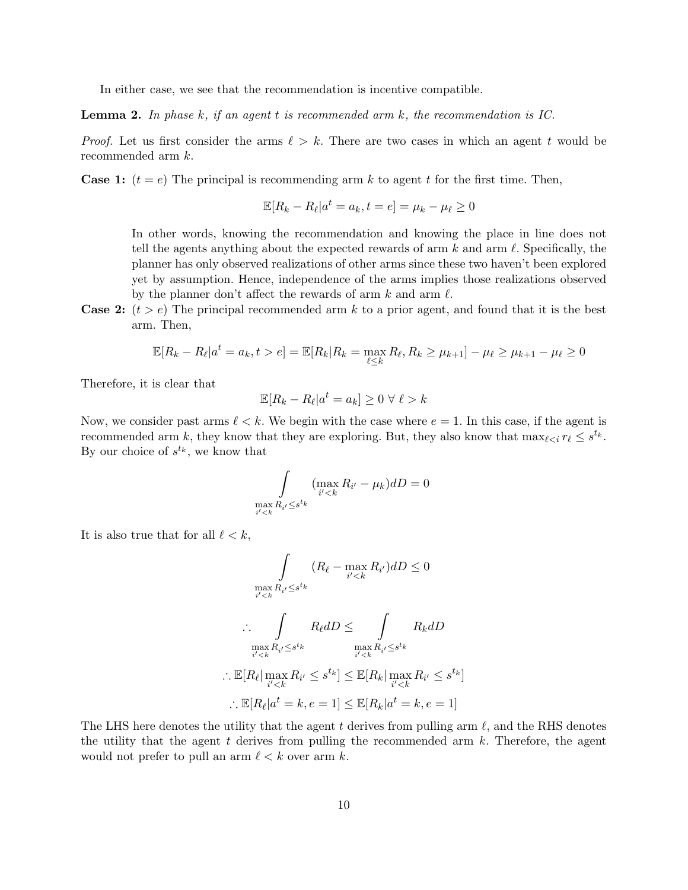In either case, we see that the recommendation is incentive compatible.

<span id="page-9-0"></span>**Lemma 2.** In phase k, if an agent t is recommended arm k, the recommendation is IC.

*Proof.* Let us first consider the arms  $\ell > k$ . There are two cases in which an agent t would be recommended arm k.

**Case 1:**  $(t = e)$  The principal is recommending arm k to agent t for the first time. Then,

$$
\mathbb{E}[R_k - R_\ell | a^t = a_k, t = e] = \mu_k - \mu_\ell \ge 0
$$

In other words, knowing the recommendation and knowing the place in line does not tell the agents anything about the expected rewards of arm  $k$  and arm  $\ell$ . Specifically, the planner has only observed realizations of other arms since these two haven't been explored yet by assumption. Hence, independence of the arms implies those realizations observed by the planner don't affect the rewards of arm  $k$  and arm  $\ell$ .

**Case 2:**  $(t > e)$  The principal recommended arm k to a prior agent, and found that it is the best arm. Then,

$$
\mathbb{E}[R_k - R_\ell | a^t = a_k, t > e] = \mathbb{E}[R_k | R_k = \max_{\ell \le k} R_\ell, R_k \ge \mu_{k+1}] - \mu_\ell \ge \mu_{k+1} - \mu_\ell \ge 0
$$

Therefore, it is clear that

$$
\mathbb{E}[R_k - R_\ell | a^t = a_k] \ge 0 \ \forall \ \ell > k
$$

Now, we consider past arms  $\ell < k$ . We begin with the case where  $e = 1$ . In this case, if the agent is recommended arm k, they know that they are exploring. But, they also know that  $\max_{\ell \leq i} r_{\ell} \leq s^{t_k}$ . By our choice of  $s^{t_k}$ , we know that

$$
\int\limits_{\max\limits_{i'
$$

It is also true that for all  $\ell < k$ ,

$$
\int_{\max\limits_{i'
$$
\max_{i'
$$
\therefore \int_{\max\limits_{i'
$$
\therefore \mathbb{E}[R_{\ell} | \max_{i'
$$
\therefore \mathbb{E}[R_{\ell} | a^t = k, e = 1] \leq \mathbb{E}[R_k | a^t = k, e = 1]
$$
$$
$$
$$
$$

The LHS here denotes the utility that the agent t derives from pulling arm  $\ell$ , and the RHS denotes the utility that the agent  $t$  derives from pulling the recommended arm  $k$ . Therefore, the agent would not prefer to pull an arm  $\ell < k$  over arm k.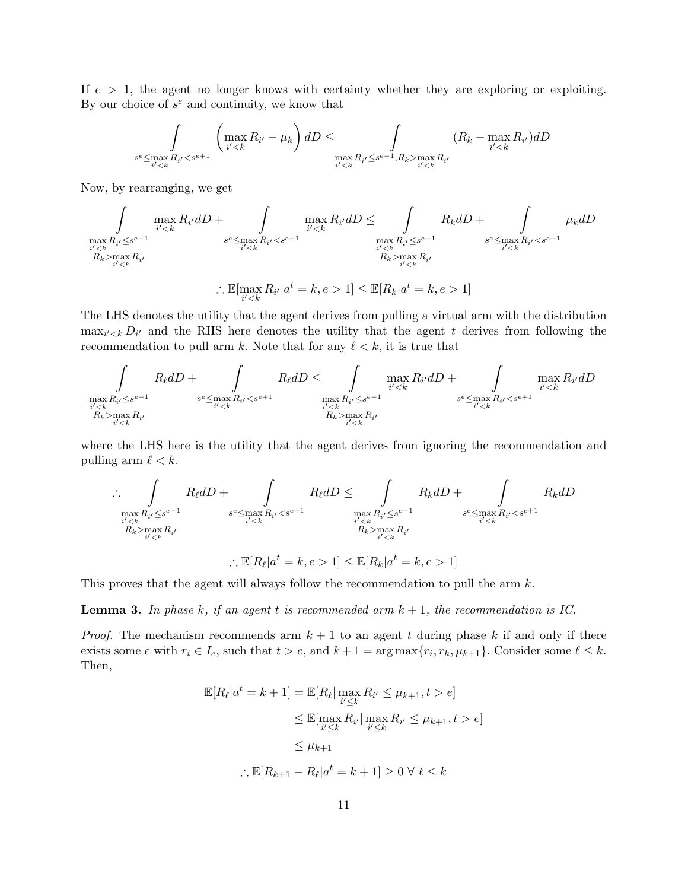If  $e > 1$ , the agent no longer knows with certainty whether they are exploring or exploiting. By our choice of  $s^e$  and continuity, we know that

$$
\int_{s^e \le \max_{i' < k} R_{i'} < s^{e+1}} \left( \max_{i' < k} R_{i'} - \mu_k \right) dD \le \int_{\max_{i' < k} R_{i'} \le s^{e-1}, R_k > \max_{i' < k} R_{i'}} (R_k - \max_{i' < k} R_{i'}) dD
$$

Now, by rearranging, we get

$$
\int_{\max\limits_{i'm\geq x}}\max_{R_{i'}\leq s^{e-1}}R_{i'}dD+\int_{\substack{s^e\leq \max\limits_{i'm\geq x}}R_{i'}< s^{e+1}}\max_{\substack{s^e\leq t^e\\k'm\geq x}}R_{i'}dD+\int_{\substack{s^e\leq \max\limits_{i'm\geq x}}R_{i'}\leq s^{e-1}}\mu_kdD
$$
\n
$$
\int_{\substack{s^e\leq \max\limits_{i'm\geq x}}R_{i'}\leq s^{e-1}}R_{i'}dD+\int_{\substack{s^e\leq \max\limits_{i'm\geq x}}R_{i'}< s^{e+1}}
$$
\n
$$
\int_{\substack{s^e\leq \max\limits_{i'm\geq x}}R_{i'}\leq s^{e-1}}R_{i'}dD+\int_{\substack{s^e\leq \max\limits_{i'm\geq x}}R_{i'}< s^{e+1}}
$$

The LHS denotes the utility that the agent derives from pulling a virtual arm with the distribution  $\max_{i' < k} D_{i'}$  and the RHS here denotes the utility that the agent t derives from following the recommendation to pull arm k. Note that for any  $\ell < k$ , it is true that

$$
\int_{\max_{i' < k} R_{i'} \le s^{e-1}} R_{\ell} dD + \int_{\substack{s^e \le \max_{i' < k} R_{i'} < s^{e+1} \\ R_k > \max_{i' < k} R_i \\ R_k > \max_{i' < k} R_i \\ \text{where} \quad R_{i'} \le s^{e-1} \\ R_k > \max_{i' < k} R_{i'}
$$
\n
$$
\int_{\substack{s^e \le \max_{i' < k} R_{i'} < s^{e+1} \\ R_k > \max_{i' < k} R_i \\ \text{where} \quad R_{i'} \le s^{e-1} \\ R_k > \max_{i' < k} R_{i'}
$$
\nwhere  $R_{i'} \le s^{e-1}$  and  $R_{i'} \le s^{e-1}$  are the same as  $R_{i' < k}$  and  $R_{i' < k}$ .

where the LHS here is the utility that the agent derives from ignoring the recommendation and pulling arm  $\ell < k$ .

$$
\therefore \int_{\max\limits_{i' < k} R_{i'} \le s^{e-1}} R_{\ell} dD + \int_{\substack{s^e \le \max\limits_{i' < k} R_{i'} < s^{e+1} \\ R_{k} > \max\limits_{i' < k} R_{i'}}} R_{\ell} dD \le \int_{\max\limits_{i' < k} R_{i'} \le s^{e-1}} R_{k} dD + \int_{\substack{s^e \le \max\limits_{i' < k} R_{i'} < s^{e+1} \\ R_{k} > \max\limits_{i' < k} R_{i'}}} R_{k} dD
$$
\n
$$
\therefore \mathbb{E}[R_{\ell} | a^t = k, e > 1] \le \mathbb{E}[R_{k} | a^t = k, e > 1]
$$

This proves that the agent will always follow the recommendation to pull the arm k.

<span id="page-10-0"></span>**Lemma 3.** In phase k, if an agent t is recommended arm  $k + 1$ , the recommendation is IC.

*Proof.* The mechanism recommends arm  $k + 1$  to an agent t during phase k if and only if there exists some e with  $r_i \in I_e$ , such that  $t > e$ , and  $k + 1 = \arg \max \{r_i, r_k, \mu_{k+1}\}$ . Consider some  $\ell \leq k$ . Then,

$$
\mathbb{E}[R_{\ell}|a^t = k+1] = \mathbb{E}[R_{\ell}|\max_{i' \leq k} R_{i'} \leq \mu_{k+1}, t > e]
$$
  
\n
$$
\leq \mathbb{E}[\max_{i' \leq k} R_{i'}|\max_{i' \leq k} R_{i'} \leq \mu_{k+1}, t > e]
$$
  
\n
$$
\leq \mu_{k+1}
$$
  
\n
$$
\therefore \mathbb{E}[R_{k+1} - R_{\ell}|a^t = k+1] \geq 0 \ \forall \ \ell \leq k
$$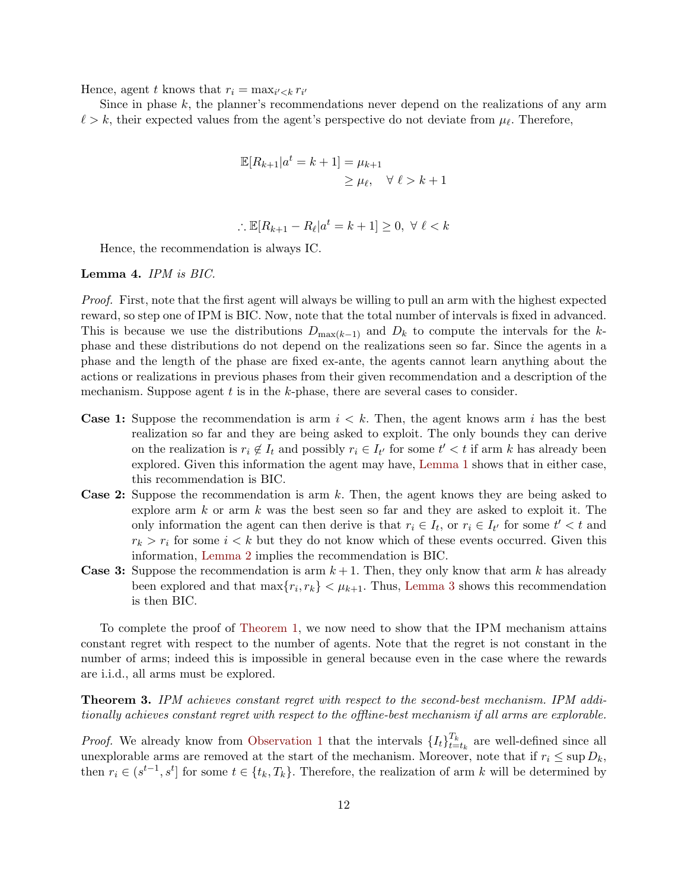Hence, agent t knows that  $r_i = \max_{i' < k} r_{i'}$ 

Since in phase  $k$ , the planner's recommendations never depend on the realizations of any arm  $\ell > k$ , their expected values from the agent's perspective do not deviate from  $\mu_{\ell}$ . Therefore,

$$
\mathbb{E}[R_{k+1}|a^t = k+1] = \mu_{k+1}
$$
  
\n
$$
\geq \mu_{\ell}, \quad \forall \ell > k+1
$$

$$
\therefore \mathbb{E}[R_{k+1} - R_{\ell} | a^t = k+1] \ge 0, \ \forall \ \ell < k
$$

Hence, the recommendation is always IC.

#### <span id="page-11-0"></span>Lemma 4. IPM is BIC.

Proof. First, note that the first agent will always be willing to pull an arm with the highest expected reward, so step one of IPM is BIC. Now, note that the total number of intervals is fixed in advanced. This is because we use the distributions  $D_{\max(k-1)}$  and  $D_k$  to compute the intervals for the kphase and these distributions do not depend on the realizations seen so far. Since the agents in a phase and the length of the phase are fixed ex-ante, the agents cannot learn anything about the actions or realizations in previous phases from their given recommendation and a description of the mechanism. Suppose agent  $t$  is in the  $k$ -phase, there are several cases to consider.

- **Case 1:** Suppose the recommendation is arm  $i < k$ . Then, the agent knows arm i has the best realization so far and they are being asked to exploit. The only bounds they can derive on the realization is  $r_i \notin I_t$  and possibly  $r_i \in I_{t'}$  for some  $t' < t$  if arm k has already been explored. Given this information the agent may have, [Lemma 1](#page-7-2) shows that in either case, this recommendation is BIC.
- Case 2: Suppose the recommendation is arm k. Then, the agent knows they are being asked to explore arm  $k$  or arm  $k$  was the best seen so far and they are asked to exploit it. The only information the agent can then derive is that  $r_i \in I_t$ , or  $r_i \in I_{t'}$  for some  $t' < t$  and  $r_k > r_i$  for some  $i < k$  but they do not know which of these events occurred. Given this information, [Lemma 2](#page-9-0) implies the recommendation is BIC.
- **Case 3:** Suppose the recommendation is arm  $k+1$ . Then, they only know that arm k has already been explored and that  $\max\{r_i, r_k\} < \mu_{k+1}$ . Thus, [Lemma 3](#page-10-0) shows this recommendation is then BIC.

To complete the proof of [Theorem 1,](#page-5-0) we now need to show that the IPM mechanism attains constant regret with respect to the number of agents. Note that the regret is not constant in the number of arms; indeed this is impossible in general because even in the case where the rewards are i.i.d., all arms must be explored.

<span id="page-11-1"></span>Theorem 3. IPM achieves constant regret with respect to the second-best mechanism. IPM additionally achieves constant regret with respect to the offline-best mechanism if all arms are explorable.

*Proof.* We already know from [Observation 1](#page-7-0) that the intervals  $\{I_t\}_{t=1}^{T_k}$  $t_{t=t_k}^{I_k}$  are well-defined since all unexplorable arms are removed at the start of the mechanism. Moreover, note that if  $r_i \leq \sup D_k$ , then  $r_i \in (s^{t-1}, s^t]$  for some  $t \in \{t_k, T_k\}$ . Therefore, the realization of arm k will be determined by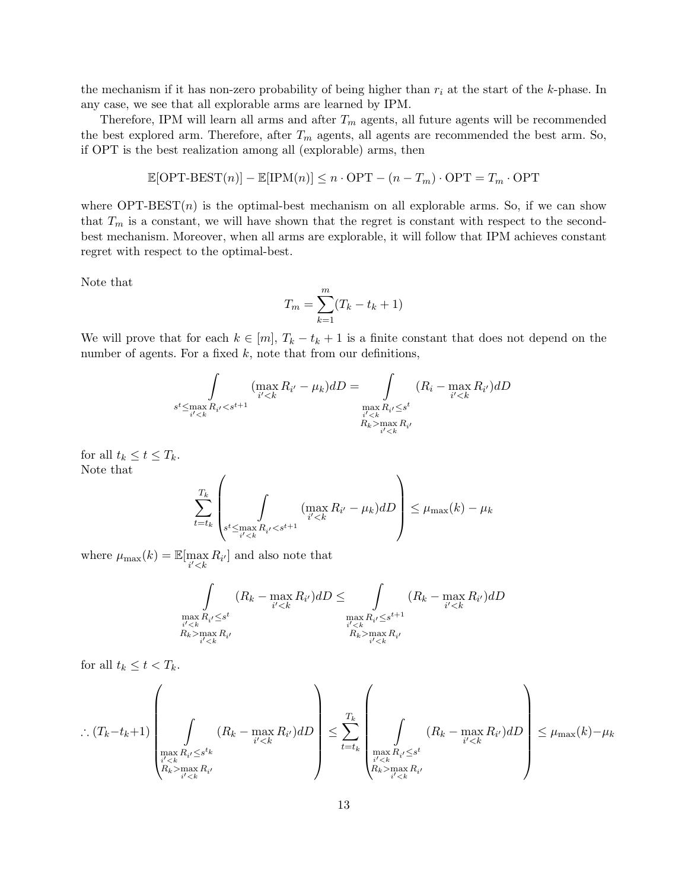the mechanism if it has non-zero probability of being higher than  $r_i$  at the start of the k-phase. In any case, we see that all explorable arms are learned by IPM.

Therefore, IPM will learn all arms and after  $T_m$  agents, all future agents will be recommended the best explored arm. Therefore, after  $T_m$  agents, all agents are recommended the best arm. So, if OPT is the best realization among all (explorable) arms, then

$$
\mathbb{E}[\text{OPT-BEST}(n)] - \mathbb{E}[\text{IPM}(n)] \le n \cdot \text{OPT} - (n - T_m) \cdot \text{OPT} = T_m \cdot \text{OPT}
$$

where  $\text{OPT-BEST}(n)$  is the optimal-best mechanism on all explorable arms. So, if we can show that  $T_m$  is a constant, we will have shown that the regret is constant with respect to the secondbest mechanism. Moreover, when all arms are explorable, it will follow that IPM achieves constant regret with respect to the optimal-best.

Note that

$$
T_m = \sum_{k=1}^{m} (T_k - t_k + 1)
$$

We will prove that for each  $k \in [m], T_k - t_k + 1$  is a finite constant that does not depend on the number of agents. For a fixed  $k$ , note that from our definitions,

$$
\int_{s^t \le \max\limits_{i' < k} R_{i'} < s^{t+1}} (\max_{i' < k} R_{i'} - \mu_k) dD = \int_{\substack{max\limits_{i' < k} R_{i'} \le s^t \\ R_k > \max\limits_{i' < k} R_{i'} \\ R_k < s^{t}}} (R_i - \max_{i' < k} R_{i'}) dD
$$

for all  $t_k \leq t \leq T_k$ . Note that

$$
\sum_{t=t_k}^{T_k} \left( \int\limits_{s^t \leq \max\limits_{i' < k} R_{i'} < s^{t+1}} (\max\limits_{i' < k} R_{i'} - \mu_k) dD \right) \leq \mu_{\max}(k) - \mu_k
$$

where  $\mu_{\max}(k) = \mathbb{E}[\max_{i' < k} R_{i'}]$  and also note that

$$
\int_{\substack{max \ R_{i'} \leq s^t \\ i' < k}} (R_k - \max_{i' < k} R_{i'}) dD \leq \int_{\substack{max \ R_{i'} \leq s^{t+1} \\ i' < k \\ R_k > \max_{i' < k} R_{i'}}} (R_k - \max_{i' < k} R_{i'}) dD
$$

for all  $t_k \leq t < T_k$ .

$$
\left. \therefore (T_k - t_k + 1) \left( \int_{\substack{\max\limits_{i' < k} R_{i'} \leq s^{t_k} \\ R_k > \max\limits_{i' < k} R_{i'}}} (R_k - \max\limits_{i' < k} R_{i'}) dD \right) \leq \sum\limits_{t=t_k}^{T_k} \left( \int_{\substack{\max\limits_{i' < k} R_{i'} \leq s^t \\ R_k > \max\limits_{i' < k} R_{i'}}} (R_k - \max\limits_{i' < k} R_{i'}) dD \right) \leq \mu_{\max}(k) - \mu_k
$$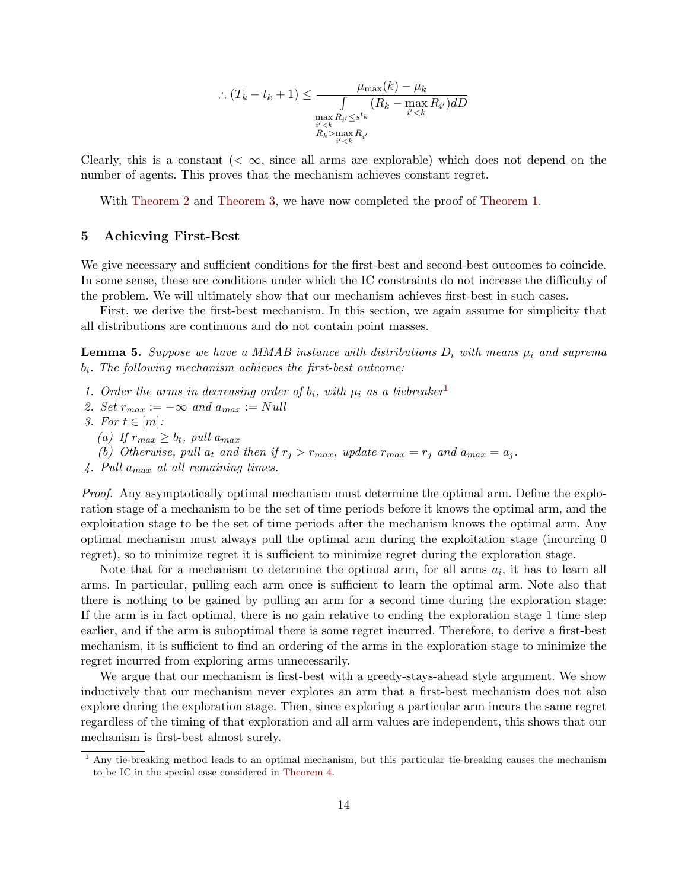$$
\therefore (T_k - t_k + 1) \le \frac{\mu_{\max}(k) - \mu_k}{\int_{\substack{m \ge R_i / \le s^{t_k} \\ i' < k}} (R_k - \max_{i' < k} R_{i'}) dD}{\max_{\substack{m \ge R_i > \max_{i' < k} \\ R_k > \max_{i' < k}} R_{i'}}
$$

Clearly, this is a constant  $( $\infty$ , since all arms are explorable) which does not depend on the$ number of agents. This proves that the mechanism achieves constant regret.

With [Theorem 2](#page-6-0) and [Theorem 3,](#page-11-1) we have now completed the proof of [Theorem 1.](#page-5-0)

#### 5 Achieving First-Best

We give necessary and sufficient conditions for the first-best and second-best outcomes to coincide. In some sense, these are conditions under which the IC constraints do not increase the difficulty of the problem. We will ultimately show that our mechanism achieves first-best in such cases.

First, we derive the first-best mechanism. In this section, we again assume for simplicity that all distributions are continuous and do not contain point masses.

<span id="page-13-1"></span>**Lemma 5.** Suppose we have a MMAB instance with distributions  $D_i$  with means  $\mu_i$  and suprema  $b_i$ . The following mechanism achieves the first-best outcome:

- [1](#page-13-0). Order the arms in decreasing order of  $b_i$ , with  $\mu_i$  as a tiebreaker<sup>1</sup>
- 2. Set  $r_{max} := -\infty$  and  $a_{max} := Null$
- 3. For  $t \in [m]$ :
	- (a) If  $r_{max} \geq b_t$ , pull  $a_{max}$
	- (b) Otherwise, pull  $a_t$  and then if  $r_i > r_{max}$ , update  $r_{max} = r_i$  and  $a_{max} = a_i$ .
- 4. Pull  $a_{max}$  at all remaining times.

Proof. Any asymptotically optimal mechanism must determine the optimal arm. Define the exploration stage of a mechanism to be the set of time periods before it knows the optimal arm, and the exploitation stage to be the set of time periods after the mechanism knows the optimal arm. Any optimal mechanism must always pull the optimal arm during the exploitation stage (incurring 0 regret), so to minimize regret it is sufficient to minimize regret during the exploration stage.

Note that for a mechanism to determine the optimal arm, for all arms  $a_i$ , it has to learn all arms. In particular, pulling each arm once is sufficient to learn the optimal arm. Note also that there is nothing to be gained by pulling an arm for a second time during the exploration stage: If the arm is in fact optimal, there is no gain relative to ending the exploration stage 1 time step earlier, and if the arm is suboptimal there is some regret incurred. Therefore, to derive a first-best mechanism, it is sufficient to find an ordering of the arms in the exploration stage to minimize the regret incurred from exploring arms unnecessarily.

We argue that our mechanism is first-best with a greedy-stays-ahead style argument. We show inductively that our mechanism never explores an arm that a first-best mechanism does not also explore during the exploration stage. Then, since exploring a particular arm incurs the same regret regardless of the timing of that exploration and all arm values are independent, this shows that our mechanism is first-best almost surely.

<span id="page-13-0"></span><sup>1</sup> Any tie-breaking method leads to an optimal mechanism, but this particular tie-breaking causes the mechanism to be IC in the special case considered in [Theorem 4.](#page-15-0)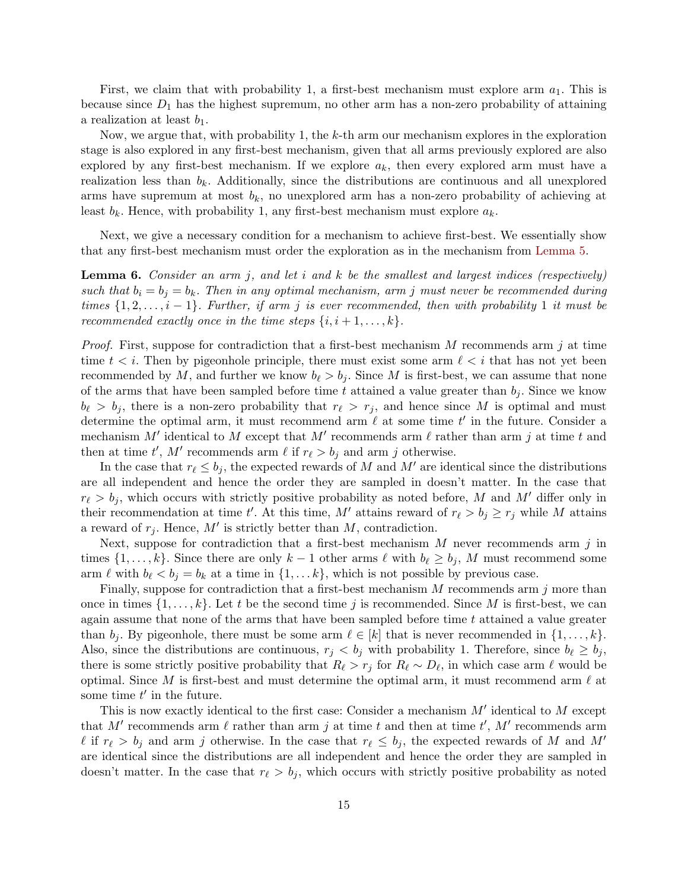First, we claim that with probability 1, a first-best mechanism must explore arm  $a_1$ . This is because since  $D_1$  has the highest supremum, no other arm has a non-zero probability of attaining a realization at least  $b_1$ .

Now, we argue that, with probability 1, the  $k$ -th arm our mechanism explores in the exploration stage is also explored in any first-best mechanism, given that all arms previously explored are also explored by any first-best mechanism. If we explore  $a_k$ , then every explored arm must have a realization less than  $b_k$ . Additionally, since the distributions are continuous and all unexplored arms have supremum at most  $b_k$ , no unexplored arm has a non-zero probability of achieving at least  $b_k$ . Hence, with probability 1, any first-best mechanism must explore  $a_k$ .

Next, we give a necessary condition for a mechanism to achieve first-best. We essentially show that any first-best mechanism must order the exploration as in the mechanism from [Lemma 5.](#page-13-1)

<span id="page-14-0"></span>**Lemma 6.** Consider an arm j, and let i and k be the smallest and largest indices (respectively) such that  $b_i = b_j = b_k$ . Then in any optimal mechanism, arm j must never be recommended during times  $\{1, 2, \ldots, i-1\}$ . Further, if arm j is ever recommended, then with probability 1 it must be recommended exactly once in the time steps  $\{i, i+1, \ldots, k\}$ .

*Proof.* First, suppose for contradiction that a first-best mechanism M recommends arm j at time time  $t < i$ . Then by pigeonhole principle, there must exist some arm  $\ell < i$  that has not yet been recommended by M, and further we know  $b_{\ell} > b_i$ . Since M is first-best, we can assume that none of the arms that have been sampled before time t attained a value greater than  $b_j$ . Since we know  $b_{\ell} > b_j$ , there is a non-zero probability that  $r_{\ell} > r_j$ , and hence since M is optimal and must determine the optimal arm, it must recommend arm  $\ell$  at some time  $t'$  in the future. Consider a mechanism M' identical to M except that M' recommends arm  $\ell$  rather than arm j at time t and then at time t', M' recommends arm  $\ell$  if  $r_{\ell} > b_j$  and arm j otherwise.

In the case that  $r_\ell \leq b_j$ , the expected rewards of M and M' are identical since the distributions are all independent and hence the order they are sampled in doesn't matter. In the case that  $r_{\ell} > b_j$ , which occurs with strictly positive probability as noted before, M and M' differ only in their recommendation at time t'. At this time, M' attains reward of  $r_{\ell} > b_j \geq r_j$  while M attains a reward of  $r_j$ . Hence, M' is strictly better than M, contradiction.

Next, suppose for contradiction that a first-best mechanism  $M$  never recommends arm  $j$  in times  $\{1, \ldots, k\}$ . Since there are only  $k - 1$  other arms  $\ell$  with  $b_{\ell} \ge b_j$ , M must recommend some arm  $\ell$  with  $b_{\ell} < b_j = b_k$  at a time in  $\{1, \ldots k\}$ , which is not possible by previous case.

Finally, suppose for contradiction that a first-best mechanism  $M$  recommends arm  $j$  more than once in times  $\{1,\ldots,k\}$ . Let t be the second time j is recommended. Since M is first-best, we can again assume that none of the arms that have been sampled before time  $t$  attained a value greater than  $b_j$ . By pigeonhole, there must be some arm  $\ell \in [k]$  that is never recommended in  $\{1, \ldots, k\}$ . Also, since the distributions are continuous,  $r_j < b_j$  with probability 1. Therefore, since  $b_\ell \geq b_j$ , there is some strictly positive probability that  $R_\ell > r_j$  for  $R_\ell \sim D_\ell$ , in which case arm  $\ell$  would be optimal. Since M is first-best and must determine the optimal arm, it must recommend arm  $\ell$  at some time  $t'$  in the future.

This is now exactly identical to the first case: Consider a mechanism  $M'$  identical to  $M$  except that M' recommends arm  $\ell$  rather than arm j at time t and then at time t', M' recommends arm  $\ell$  if  $r_{\ell} > b_j$  and arm j otherwise. In the case that  $r_{\ell} \leq b_j$ , the expected rewards of M and M' are identical since the distributions are all independent and hence the order they are sampled in doesn't matter. In the case that  $r_{\ell} > b_j$ , which occurs with strictly positive probability as noted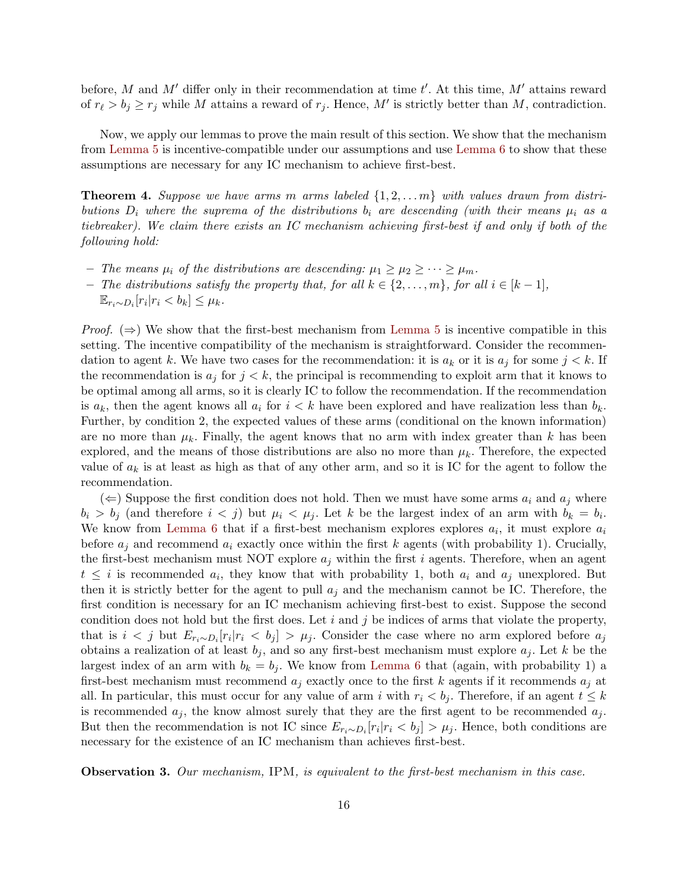before, M and M' differ only in their recommendation at time  $t'$ . At this time, M' attains reward of  $r_{\ell} > b_j \ge r_j$  while M attains a reward of  $r_j$ . Hence, M' is strictly better than M, contradiction.

Now, we apply our lemmas to prove the main result of this section. We show that the mechanism from [Lemma 5](#page-13-1) is incentive-compatible under our assumptions and use [Lemma 6](#page-14-0) to show that these assumptions are necessary for any IC mechanism to achieve first-best.

<span id="page-15-0"></span>**Theorem 4.** Suppose we have arms m arms labeled  $\{1, 2, \ldots m\}$  with values drawn from distributions  $D_i$  where the suprema of the distributions  $b_i$  are descending (with their means  $\mu_i$  as a tiebreaker). We claim there exists an IC mechanism achieving first-best if and only if both of the following hold:

- The means  $\mu_i$  of the distributions are descending:  $\mu_1 \geq \mu_2 \geq \cdots \geq \mu_m$ .
- The distributions satisfy the property that, for all  $k \in \{2, ..., m\}$ , for all  $i \in [k-1]$ ,
	- $\mathbb{E}_{r_i \sim D_i} [r_i | r_i < b_k] \leq \mu_k.$

*Proof.*  $(\Rightarrow)$  We show that the first-best mechanism from [Lemma 5](#page-13-1) is incentive compatible in this setting. The incentive compatibility of the mechanism is straightforward. Consider the recommendation to agent k. We have two cases for the recommendation: it is  $a_k$  or it is  $a_j$  for some  $j < k$ . If the recommendation is  $a_j$  for  $j < k$ , the principal is recommending to exploit arm that it knows to be optimal among all arms, so it is clearly IC to follow the recommendation. If the recommendation is  $a_k$ , then the agent knows all  $a_i$  for  $i < k$  have been explored and have realization less than  $b_k$ . Further, by condition 2, the expected values of these arms (conditional on the known information) are no more than  $\mu_k$ . Finally, the agent knows that no arm with index greater than k has been explored, and the means of those distributions are also no more than  $\mu_k$ . Therefore, the expected value of  $a_k$  is at least as high as that of any other arm, and so it is IC for the agent to follow the recommendation.

(  $\Leftarrow$  Suppose the first condition does not hold. Then we must have some arms  $a_i$  and  $a_j$  where  $b_i > b_j$  (and therefore  $i < j$ ) but  $\mu_i < \mu_j$ . Let k be the largest index of an arm with  $b_k = b_i$ . We know from [Lemma 6](#page-14-0) that if a first-best mechanism explores explores  $a_i$ , it must explore  $a_i$ before  $a_i$  and recommend  $a_i$  exactly once within the first k agents (with probability 1). Crucially, the first-best mechanism must NOT explore  $a_j$  within the first i agents. Therefore, when an agent  $t \leq i$  is recommended  $a_i$ , they know that with probability 1, both  $a_i$  and  $a_j$  unexplored. But then it is strictly better for the agent to pull  $a_j$  and the mechanism cannot be IC. Therefore, the first condition is necessary for an IC mechanism achieving first-best to exist. Suppose the second condition does not hold but the first does. Let  $i$  and  $j$  be indices of arms that violate the property, that is  $i < j$  but  $E_{r_i \sim D_i}[r_i | r_i < b_j] > \mu_j$ . Consider the case where no arm explored before  $a_j$ obtains a realization of at least  $b_i$ , and so any first-best mechanism must explore  $a_i$ . Let k be the largest index of an arm with  $b_k = b_j$ . We know from [Lemma 6](#page-14-0) that (again, with probability 1) a first-best mechanism must recommend  $a_i$  exactly once to the first k agents if it recommends  $a_i$  at all. In particular, this must occur for any value of arm i with  $r_i < b_j$ . Therefore, if an agent  $t \leq k$ is recommended  $a_j$ , the know almost surely that they are the first agent to be recommended  $a_j$ . But then the recommendation is not IC since  $E_{r_i \sim D_i}[r_i | r_i \lt b_j] > \mu_j$ . Hence, both conditions are necessary for the existence of an IC mechanism than achieves first-best.

Observation 3. Our mechanism, IPM, is equivalent to the first-best mechanism in this case.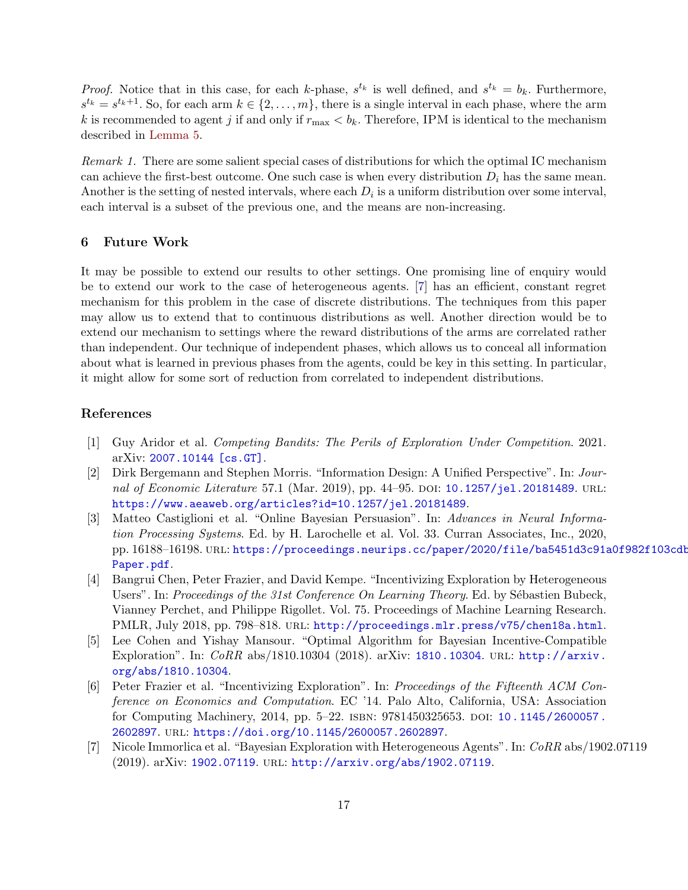*Proof.* Notice that in this case, for each k-phase,  $s^{t_k}$  is well defined, and  $s^{t_k} = b_k$ . Furthermore,  $s^{t_k} = s^{t_k+1}$ . So, for each arm  $k \in \{2, \ldots, m\}$ , there is a single interval in each phase, where the arm k is recommended to agent j if and only if  $r_{\text{max}} < b_k$ . Therefore, IPM is identical to the mechanism described in [Lemma 5.](#page-13-1)

Remark 1. There are some salient special cases of distributions for which the optimal IC mechanism can achieve the first-best outcome. One such case is when every distribution  $D_i$  has the same mean. Another is the setting of nested intervals, where each  $D_i$  is a uniform distribution over some interval, each interval is a subset of the previous one, and the means are non-increasing.

#### 6 Future Work

It may be possible to extend our results to other settings. One promising line of enquiry would be to extend our work to the case of heterogeneous agents. [\[7\]](#page-16-2) has an efficient, constant regret mechanism for this problem in the case of discrete distributions. The techniques from this paper may allow us to extend that to continuous distributions as well. Another direction would be to extend our mechanism to settings where the reward distributions of the arms are correlated rather than independent. Our technique of independent phases, which allows us to conceal all information about what is learned in previous phases from the agents, could be key in this setting. In particular, it might allow for some sort of reduction from correlated to independent distributions.

## References

- <span id="page-16-6"></span>[1] Guy Aridor et al. Competing Bandits: The Perils of Exploration Under Competition. 2021. arXiv: [2007.10144 \[cs.GT\]](https://arxiv.org/abs/2007.10144).
- <span id="page-16-4"></span>[2] Dirk Bergemann and Stephen Morris. "Information Design: A Unified Perspective". In: Jour-nal of Economic Literature 57.1 (Mar. 2019), pp. 44–95. DOI: [10.1257/jel.20181489](https://doi.org/10.1257/jel.20181489). URL: <https://www.aeaweb.org/articles?id=10.1257/jel.20181489>.
- <span id="page-16-5"></span>[3] Matteo Castiglioni et al. "Online Bayesian Persuasion". In: Advances in Neural Information Processing Systems. Ed. by H. Larochelle et al. Vol. 33. Curran Associates, Inc., 2020, pp. 16188-16198. URL: [https://proceedings.neurips.cc/paper/2020/file/ba5451d3c91a](https://proceedings.neurips.cc/paper/2020/file/ba5451d3c91a0f982f103cdbe249bc78-Paper.pdf)0f982f103cdb [Paper.pdf](https://proceedings.neurips.cc/paper/2020/file/ba5451d3c91a0f982f103cdbe249bc78-Paper.pdf).
- <span id="page-16-3"></span>[4] Bangrui Chen, Peter Frazier, and David Kempe. "Incentivizing Exploration by Heterogeneous Users". In: Proceedings of the 31st Conference On Learning Theory. Ed. by Sébastien Bubeck, Vianney Perchet, and Philippe Rigollet. Vol. 75. Proceedings of Machine Learning Research. PMLR, July 2018, pp. 798-818. URL: <http://proceedings.mlr.press/v75/chen18a.html>.
- <span id="page-16-1"></span>[5] Lee Cohen and Yishay Mansour. "Optimal Algorithm for Bayesian Incentive-Compatible Exploration". In: CoRR abs/1810.10304 (2018). arXiv: [1810.10304](https://arxiv.org/abs/1810.10304). url: [http://arxiv.](http://arxiv.org/abs/1810.10304) [org/abs/1810.10304](http://arxiv.org/abs/1810.10304).
- <span id="page-16-0"></span>[6] Peter Frazier et al. "Incentivizing Exploration". In: Proceedings of the Fifteenth ACM Conference on Economics and Computation. EC '14. Palo Alto, California, USA: Association for Computing Machinery, 2014, pp. 5–22. isbn: 9781450325653. doi: [10.1145/2600057.](https://doi.org/10.1145/2600057.2602897) [2602897](https://doi.org/10.1145/2600057.2602897). url: <https://doi.org/10.1145/2600057.2602897>.
- <span id="page-16-2"></span>[7] Nicole Immorlica et al. "Bayesian Exploration with Heterogeneous Agents". In: CoRR abs/1902.07119 (2019). arXiv: [1902.07119](https://arxiv.org/abs/1902.07119). url: <http://arxiv.org/abs/1902.07119>.